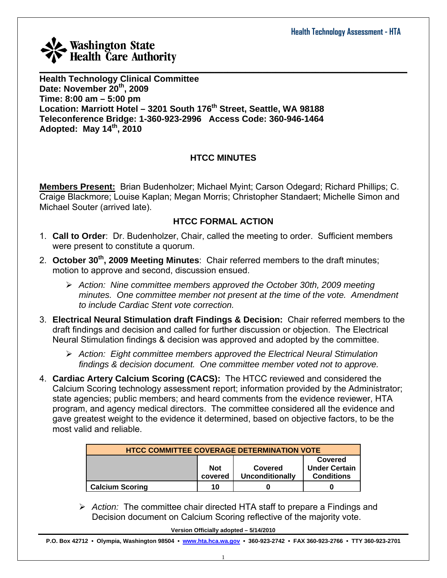

**Health Technology Clinical Committee Date: November 20th, 2009 Time: 8:00 am – 5:00 pm Location: Marriott Hotel – 3201 South 176th Street, Seattle, WA 98188 Teleconference Bridge: 1-360-923-2996 Access Code: 360-946-1464 Adopted: May 14th, 2010** 

#### **HTCC MINUTES**

**Members Present:** Brian Budenholzer; Michael Myint; Carson Odegard; Richard Phillips; C. Craige Blackmore; Louise Kaplan; Megan Morris; Christopher Standaert; Michelle Simon and Michael Souter (arrived late).

#### **HTCC FORMAL ACTION**

- 1. **Call to Order**: Dr. Budenholzer, Chair, called the meeting to order. Sufficient members were present to constitute a quorum.
- 2. **October 30<sup>th</sup>, 2009 Meeting Minutes**: Chair referred members to the draft minutes; motion to approve and second, discussion ensued.
	- ¾ *Action: Nine committee members approved the October 30th, 2009 meeting minutes. One committee member not present at the time of the vote. Amendment to include Cardiac Stent vote correction.*
- 3. **Electrical Neural Stimulation draft Findings & Decision:** Chair referred members to the draft findings and decision and called for further discussion or objection. The Electrical Neural Stimulation findings & decision was approved and adopted by the committee.
	- ¾ *Action: Eight committee members approved the Electrical Neural Stimulation findings & decision document. One committee member voted not to approve.*
- 4. **Cardiac Artery Calcium Scoring (CACS):** The HTCC reviewed and considered the Calcium Scoring technology assessment report; information provided by the Administrator; state agencies; public members; and heard comments from the evidence reviewer, HTA program, and agency medical directors. The committee considered all the evidence and gave greatest weight to the evidence it determined, based on objective factors, to be the most valid and reliable.

| <b>HTCC COMMITTEE COVERAGE DETERMINATION VOTE</b>                                                           |    |  |  |  |  |  |
|-------------------------------------------------------------------------------------------------------------|----|--|--|--|--|--|
| Covered<br><b>Under Certain</b><br><b>Not</b><br>Covered<br><b>Conditions</b><br>Unconditionally<br>covered |    |  |  |  |  |  |
| <b>Calcium Scoring</b>                                                                                      | 10 |  |  |  |  |  |

¾ *Action:* The committee chair directed HTA staff to prepare a Findings and Decision document on Calcium Scoring reflective of the majority vote.

**Version Officially adopted – 5/14/2010**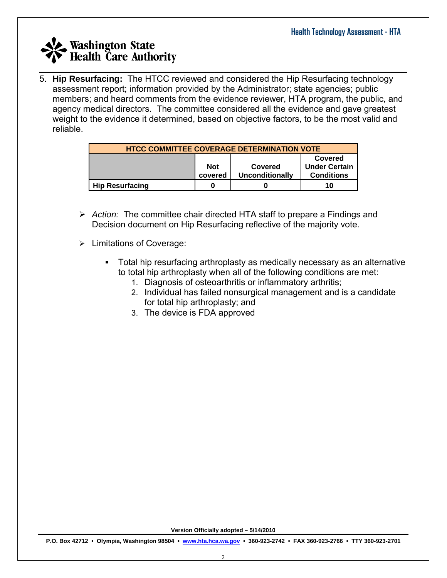$\_$  , and the set of the set of the set of the set of the set of the set of the set of the set of the set of the set of the set of the set of the set of the set of the set of the set of the set of the set of the set of th 5. **Hip Resurfacing:** The HTCC reviewed and considered the Hip Resurfacing technology assessment report; information provided by the Administrator; state agencies; public members; and heard comments from the evidence reviewer, HTA program, the public, and agency medical directors. The committee considered all the evidence and gave greatest weight to the evidence it determined, based on objective factors, to be the most valid and reliable.

| <b>HTCC COMMITTEE COVERAGE DETERMINATION VOTE</b> |            |                        |                      |  |  |  |  |
|---------------------------------------------------|------------|------------------------|----------------------|--|--|--|--|
|                                                   | Covered    |                        |                      |  |  |  |  |
|                                                   | <b>Not</b> | Covered                | <b>Under Certain</b> |  |  |  |  |
|                                                   | covered    | <b>Unconditionally</b> | <b>Conditions</b>    |  |  |  |  |
| <b>Hip Resurfacing</b>                            | 0          |                        | 10                   |  |  |  |  |

- ¾ *Action:* The committee chair directed HTA staff to prepare a Findings and Decision document on Hip Resurfacing reflective of the majority vote.
- $\triangleright$  Limitations of Coverage:
	- Total hip resurfacing arthroplasty as medically necessary as an alternative to total hip arthroplasty when all of the following conditions are met:
		- 1. Diagnosis of osteoarthritis or inflammatory arthritis;
		- 2. Individual has failed nonsurgical management and is a candidate for total hip arthroplasty; and
		- 3. The device is FDA approved

**Version Officially adopted – 5/14/2010**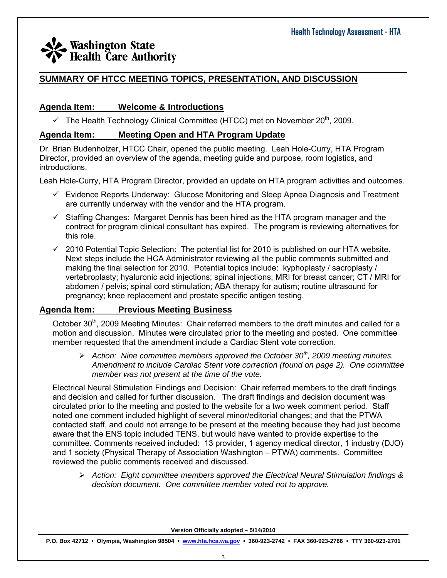#### $\_$  , and the set of the set of the set of the set of the set of the set of the set of the set of the set of the set of the set of the set of the set of the set of the set of the set of the set of the set of the set of th **SUMMARY OF HTCC MEETING TOPICS, PRESENTATION, AND DISCUSSION**

#### **Agenda Item: Welcome & Introductions**

 $\checkmark$  The Health Technology Clinical Committee (HTCC) met on November 20<sup>th</sup>, 2009.

#### **Agenda Item: Meeting Open and HTA Program Update**

Dr. Brian Budenholzer, HTCC Chair, opened the public meeting. Leah Hole-Curry, HTA Program Director, provided an overview of the agenda, meeting guide and purpose, room logistics, and introductions.

Leah Hole-Curry, HTA Program Director, provided an update on HTA program activities and outcomes.

- $\checkmark$  Evidence Reports Underway: Glucose Monitoring and Sleep Apnea Diagnosis and Treatment are currently underway with the vendor and the HTA program.
- $\checkmark$  Staffing Changes: Margaret Dennis has been hired as the HTA program manager and the contract for program clinical consultant has expired. The program is reviewing alternatives for this role.
- $\checkmark$  2010 Potential Topic Selection: The potential list for 2010 is published on our HTA website. Next steps include the HCA Administrator reviewing all the public comments submitted and making the final selection for 2010. Potential topics include: kyphoplasty / sacroplasty / vertebroplasty; hyaluronic acid injections; spinal injections; MRI for breast cancer; CT / MRI for abdomen / pelvis; spinal cord stimulation; ABA therapy for autism; routine ultrasound for pregnancy; knee replacement and prostate specific antigen testing.

#### **Agenda Item: Previous Meeting Business**

October 30<sup>th</sup>, 2009 Meeting Minutes: Chair referred members to the draft minutes and called for a motion and discussion. Minutes were circulated prior to the meeting and posted. One committee member requested that the amendment include a Cardiac Stent vote correction.

¾ *Action: Nine committee members approved the October 30th, 2009 meeting minutes. Amendment to include Cardiac Stent vote correction (found on page 2). One committee member was not present at the time of the vote.* 

Electrical Neural Stimulation Findings and Decision: Chair referred members to the draft findings and decision and called for further discussion. The draft findings and decision document was circulated prior to the meeting and posted to the website for a two week comment period. Staff noted one comment included highlight of several minor/editorial changes; and that the PTWA contacted staff, and could not arrange to be present at the meeting because they had just become aware that the ENS topic included TENS, but would have wanted to provide expertise to the committee. Comments received included: 13 provider, 1 agency medical director, 1 industry (DJO) and 1 society (Physical Therapy of Association Washington – PTWA) comments. Committee reviewed the public comments received and discussed.

¾ *Action: Eight committee members approved the Electrical Neural Stimulation findings & decision document. One committee member voted not to approve.*

**Version Officially adopted – 5/14/2010**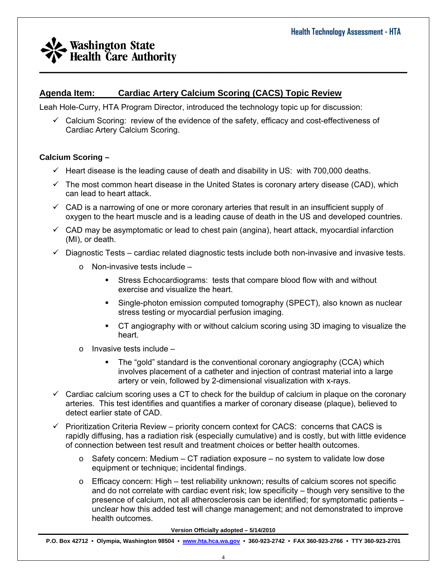#### **Agenda Item: Cardiac Artery Calcium Scoring (CACS) Topic Review**

Leah Hole-Curry, HTA Program Director, introduced the technology topic up for discussion:

 $\checkmark$  Calcium Scoring: review of the evidence of the safety, efficacy and cost-effectiveness of Cardiac Artery Calcium Scoring.

 $\_$  , and the set of the set of the set of the set of the set of the set of the set of the set of the set of the set of the set of the set of the set of the set of the set of the set of the set of the set of the set of th

#### **Calcium Scoring –**

- $\checkmark$  Heart disease is the leading cause of death and disability in US: with 700,000 deaths.
- $\checkmark$  The most common heart disease in the United States is coronary artery disease (CAD), which can lead to heart attack.
- $\checkmark$  CAD is a narrowing of one or more coronary arteries that result in an insufficient supply of oxygen to the heart muscle and is a leading cause of death in the US and developed countries.
- $\checkmark$  CAD may be asymptomatic or lead to chest pain (angina), heart attack, myocardial infarction (MI), or death.
- $\checkmark$  Diagnostic Tests cardiac related diagnostic tests include both non-invasive and invasive tests.
	- $\circ$  Non-invasive tests include
		- Stress Echocardiograms: tests that compare blood flow with and without exercise and visualize the heart.
		- Single-photon emission computed tomography (SPECT), also known as nuclear stress testing or myocardial perfusion imaging.
		- CT angiography with or without calcium scoring using 3D imaging to visualize the heart.
	- o Invasive tests include
		- The "gold" standard is the conventional coronary angiography (CCA) which involves placement of a catheter and injection of contrast material into a large artery or vein, followed by 2-dimensional visualization with x-rays.
- $\checkmark$  Cardiac calcium scoring uses a CT to check for the buildup of calcium in plaque on the coronary arteries. This test identifies and quantifies a marker of coronary disease (plaque), believed to detect earlier state of CAD.
- $\checkmark$  Prioritization Criteria Review priority concern context for CACS: concerns that CACS is rapidly diffusing, has a radiation risk (especially cumulative) and is costly, but with little evidence of connection between test result and treatment choices or better health outcomes.
	- $\circ$  Safety concern: Medium CT radiation exposure no system to validate low dose equipment or technique; incidental findings.
	- o Efficacy concern: High test reliability unknown; results of calcium scores not specific and do not correlate with cardiac event risk; low specificity – though very sensitive to the presence of calcium, not all atherosclerosis can be identified; for symptomatic patients – unclear how this added test will change management; and not demonstrated to improve health outcomes.

**Version Officially adopted – 5/14/2010**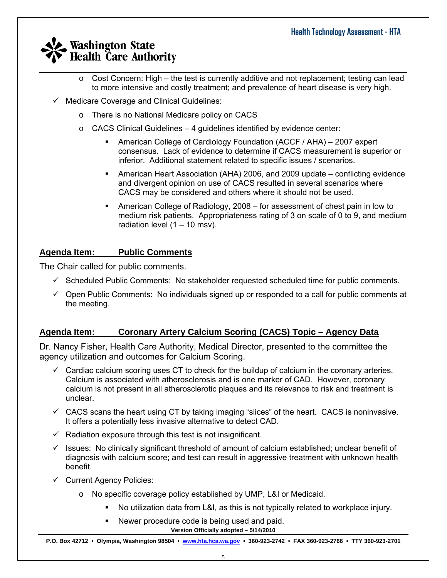- $\_$  , and the set of the set of the set of the set of the set of the set of the set of the set of the set of the set of the set of the set of the set of the set of the set of the set of the set of the set of the set of th o Cost Concern: High – the test is currently additive and not replacement; testing can lead to more intensive and costly treatment; and prevalence of heart disease is very high.
	- $\checkmark$  Medicare Coverage and Clinical Guidelines:
		- o There is no National Medicare policy on CACS
		- $\circ$  CACS Clinical Guidelines 4 guidelines identified by evidence center:
			- American College of Cardiology Foundation (ACCF / AHA) 2007 expert consensus. Lack of evidence to determine if CACS measurement is superior or inferior. Additional statement related to specific issues / scenarios.
			- American Heart Association (AHA) 2006, and 2009 update conflicting evidence and divergent opinion on use of CACS resulted in several scenarios where CACS may be considered and others where it should not be used.
			- American College of Radiology, 2008 for assessment of chest pain in low to medium risk patients. Appropriateness rating of 3 on scale of 0 to 9, and medium radiation level  $(1 - 10$  msv).

### **Agenda Item: Public Comments**

The Chair called for public comments.

- $\checkmark$  Scheduled Public Comments: No stakeholder requested scheduled time for public comments.
- $\checkmark$  Open Public Comments: No individuals signed up or responded to a call for public comments at the meeting.

#### **Agenda Item: Coronary Artery Calcium Scoring (CACS) Topic – Agency Data**

Dr. Nancy Fisher, Health Care Authority, Medical Director, presented to the committee the agency utilization and outcomes for Calcium Scoring.

- $\checkmark$  Cardiac calcium scoring uses CT to check for the buildup of calcium in the coronary arteries. Calcium is associated with atherosclerosis and is one marker of CAD. However, coronary calcium is not present in all atherosclerotic plaques and its relevance to risk and treatment is unclear.
- $\checkmark$  CACS scans the heart using CT by taking imaging "slices" of the heart. CACS is noninvasive. It offers a potentially less invasive alternative to detect CAD.
- $\checkmark$  Radiation exposure through this test is not insignificant.
- $\checkmark$  Issues: No clinically significant threshold of amount of calcium established; unclear benefit of diagnosis with calcium score; and test can result in aggressive treatment with unknown health benefit.
- $\checkmark$  Current Agency Policies:
	- o No specific coverage policy established by UMP, L&I or Medicaid.
		- No utilization data from L&I, as this is not typically related to workplace injury.
		- **Version Officially adopted 5/14/2010**  Newer procedure code is being used and paid.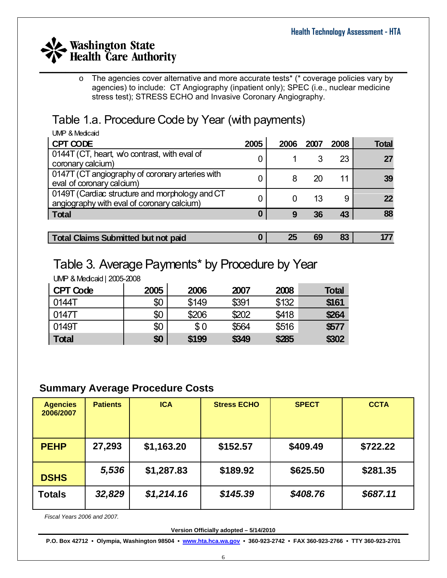$\_$  , and the set of the set of the set of the set of the set of the set of the set of the set of the set of the set of the set of the set of the set of the set of the set of the set of the set of the set of the set of th o The agencies cover alternative and more accurate tests\* (\* coverage policies vary by agencies) to include: CT Angiography (inpatient only); SPEC (i.e., nuclear medicine stress test); STRESS ECHO and Invasive Coronary Angiography.

# Table 1.a. Procedure Code by Year (with payments)

| UMP & Medicaid                                                                               |      |      |      |      |       |
|----------------------------------------------------------------------------------------------|------|------|------|------|-------|
| CPT CODE                                                                                     | 2005 | 2006 | 2007 | 2008 | Total |
| 0144T (CT, heart, w/o contrast, with eval of<br>coronary calcium)                            |      |      |      | 23   | 27    |
| 0147T (CT angiography of coronary arteries with<br>eval of coronary calcium)                 |      | 8    | 20   | 11   | 39    |
| 0149T (Cardiac structure and morphology and CT<br>angiography with eval of coronary calcium) |      |      | 13   | 9    | 22    |
| <b>Total</b>                                                                                 | 0    | 9    | 36   | 43   | 88    |
|                                                                                              |      |      |      |      |       |

**Total Claims Submitted but not paid 0 25 69 83 177**

# Table 3. Average Payments\* by Procedure by Year

UMP & Medicaid | 2005-2008

| <b>CPT Code</b> | 2005 | 2006  | 2007  | 2008  | <b>Total</b> |
|-----------------|------|-------|-------|-------|--------------|
| 0144T           | \$0  | \$149 | \$391 | \$132 | \$161        |
| 0147T           | \$0  | \$206 | \$202 | \$418 | \$264        |
| 0149T           | \$0  | \$0   | \$564 | \$516 | \$577        |
| <b>Total</b>    | \$0  | \$199 | \$349 | \$285 | \$302        |

### **Summary Average Procedure Costs**

| <b>Agencies</b><br>2006/2007 | <b>Patients</b> | <b>ICA</b> | <b>Stress ECHO</b> | <b>SPECT</b> | <b>CCTA</b> |
|------------------------------|-----------------|------------|--------------------|--------------|-------------|
| <b>PEHP</b>                  | 27,293          | \$1,163.20 | \$152.57           | \$409.49     | \$722.22    |
| <b>DSHS</b>                  | 5,536           | \$1,287.83 | \$189.92           | \$625.50     | \$281.35    |
| <b>Totals</b>                | 32,829          | \$1,214.16 | \$145.39           | \$408.76     | \$687.11    |

*Fiscal Years 2006 and 2007.* 

**Version Officially adopted – 5/14/2010**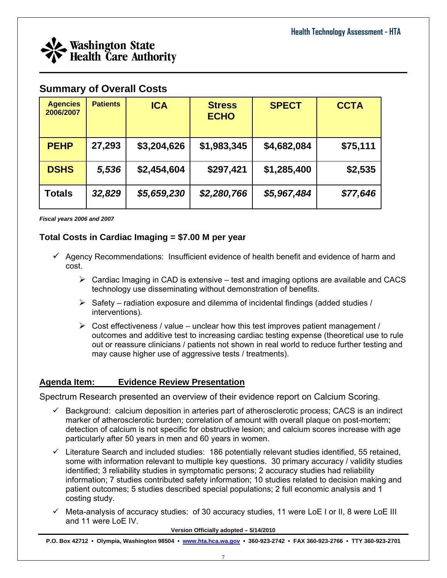

### **Summary of Overall Costs**

| <b>Agencies</b><br>2006/2007 | <b>Patients</b> | <b>ICA</b>  | <b>Stress</b><br><b>ECHO</b> | <b>SPECT</b> | <b>CCTA</b> |
|------------------------------|-----------------|-------------|------------------------------|--------------|-------------|
| <b>PEHP</b>                  | 27,293          | \$3,204,626 | \$1,983,345                  | \$4,682,084  | \$75,111    |
| <b>DSHS</b>                  | 5,536           | \$2,454,604 | \$297,421                    | \$1,285,400  | \$2,535     |
| Totals                       | 32,829          | \$5,659,230 | \$2,280,766                  | \$5,967,484  | \$77,646    |

*Fiscal years 2006 and 2007* 

#### **Total Costs in Cardiac Imaging = \$7.00 M per year**

- $\checkmark$  Agency Recommendations: Insufficient evidence of health benefit and evidence of harm and cost.
	- $\triangleright$  Cardiac Imaging in CAD is extensive test and imaging options are available and CACS technology use disseminating without demonstration of benefits.
	- $\triangleright$  Safety radiation exposure and dilemma of incidental findings (added studies / interventions).
	- $\triangleright$  Cost effectiveness / value unclear how this test improves patient management / outcomes and additive test to increasing cardiac testing expense (theoretical use to rule out or reassure clinicians / patients not shown in real world to reduce further testing and may cause higher use of aggressive tests / treatments).

#### **Agenda Item: Evidence Review Presentation**

Spectrum Research presented an overview of their evidence report on Calcium Scoring.

- $\checkmark$  Background: calcium deposition in arteries part of atherosclerotic process; CACS is an indirect marker of atherosclerotic burden; correlation of amount with overall plaque on post-mortem; detection of calcium is not specific for obstructive lesion; and calcium scores increase with age particularly after 50 years in men and 60 years in women.
- $\checkmark$  Literature Search and included studies: 186 potentially relevant studies identified, 55 retained, some with information relevant to multiple key questions. 30 primary accuracy / validity studies identified; 3 reliability studies in symptomatic persons; 2 accuracy studies had reliability information; 7 studies contributed safety information; 10 studies related to decision making and patient outcomes; 5 studies described special populations; 2 full economic analysis and 1 costing study.
- $\checkmark$  Meta-analysis of accuracy studies: of 30 accuracy studies, 11 were LoE I or II, 8 were LoE III and 11 were LoE IV.

**Version Officially adopted – 5/14/2010**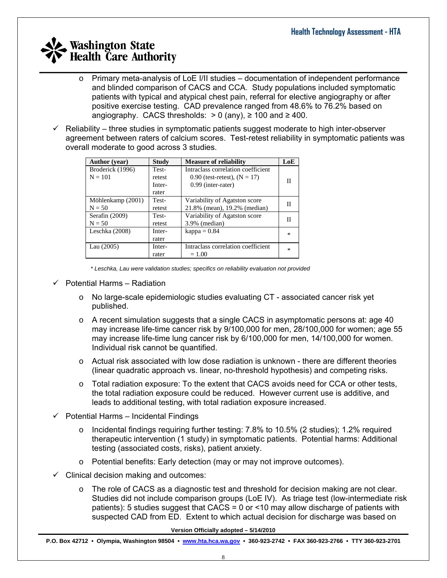- $\circ$  Primary meta-analysis of LoE I/II studies documentation of independent performance and blinded comparison of CACS and CCA. Study populations included symptomatic patients with typical and atypical chest pain, referral for elective angiography or after positive exercise testing. CAD prevalence ranged from 48.6% to 76.2% based on angiography. CACS thresholds:  $> 0$  (any),  $\geq 100$  and  $\geq 400$ .
- $\checkmark$  Reliability three studies in symptomatic patients suggest moderate to high inter-observer agreement between raters of calcium scores. Test-retest reliability in symptomatic patients was overall moderate to good across 3 studies.

| <b>Author</b> (year) | <b>Study</b> | <b>Measure of reliability</b>      | LoE    |
|----------------------|--------------|------------------------------------|--------|
| Broderick (1996)     | Test-        | Intraclass correlation coefficient |        |
| $N = 101$            | retest       | 0.90 (test-retest), $(N = 17)$     | Н      |
|                      | Inter-       | $0.99$ (inter-rater)               |        |
|                      | rater        |                                    |        |
| Möhlenkamp (2001)    | Test-        | Variability of Agatston score      |        |
| $N = 50$             | retest       | 21.8% (mean), 19.2% (median)       |        |
| Serafin (2009)       | Test-        | Variability of Agatston score      |        |
| $N = 50$             | retest       | $3.9\%$ (median)                   |        |
| Leschka (2008)       | Inter-       | $kappa = 0.84$                     | $\ast$ |
|                      | rater        |                                    |        |
| Lau $(2005)$         | Inter-       | Intraclass correlation coefficient | $\ast$ |
|                      | rater        | $= 1.00$                           |        |

*\* Leschka, Lau were validation studies; specifics on reliability evaluation not provided* 

- $\checkmark$  Potential Harms Radiation
	- o No large-scale epidemiologic studies evaluating CT associated cancer risk yet published.
	- $\circ$  A recent simulation suggests that a single CACS in asymptomatic persons at: age 40 may increase life-time cancer risk by 9/100,000 for men, 28/100,000 for women; age 55 may increase life-time lung cancer risk by 6/100,000 for men, 14/100,000 for women. Individual risk cannot be quantified.
	- $\circ$  Actual risk associated with low dose radiation is unknown there are different theories (linear quadratic approach vs. linear, no-threshold hypothesis) and competing risks.
	- $\circ$  Total radiation exposure: To the extent that CACS avoids need for CCA or other tests, the total radiation exposure could be reduced. However current use is additive, and leads to additional testing, with total radiation exposure increased.
- $\checkmark$  Potential Harms Incidental Findings
	- o Incidental findings requiring further testing: 7.8% to 10.5% (2 studies); 1.2% required therapeutic intervention (1 study) in symptomatic patients. Potential harms: Additional testing (associated costs, risks), patient anxiety.
	- o Potential benefits: Early detection (may or may not improve outcomes).
- $\checkmark$  Clinical decision making and outcomes:
	- $\circ$  The role of CACS as a diagnostic test and threshold for decision making are not clear. Studies did not include comparison groups (LoE IV). As triage test (low-intermediate risk patients): 5 studies suggest that  $CACS = 0$  or  $\le 10$  may allow discharge of patients with suspected CAD from ED. Extent to which actual decision for discharge was based on

**Version Officially adopted – 5/14/2010**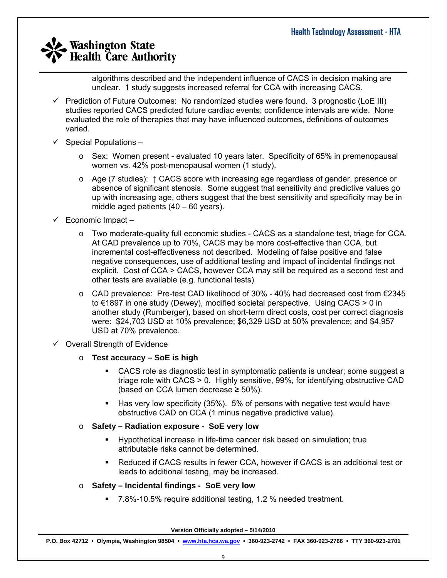algorithms described and the independent influence of CACS in decision making are unclear. 1 study suggests increased referral for CCA with increasing CACS.

- $\checkmark$  Prediction of Future Outcomes: No randomized studies were found. 3 prognostic (LoE III) studies reported CACS predicted future cardiac events; confidence intervals are wide. None evaluated the role of therapies that may have influenced outcomes, definitions of outcomes varied.
- $\checkmark$  Special Populations
	- o Sex: Women present evaluated 10 years later. Specificity of 65% in premenopausal women vs. 42% post-menopausal women (1 study).
	- o Age (7 studies): ↑ CACS score with increasing age regardless of gender, presence or absence of significant stenosis. Some suggest that sensitivity and predictive values go up with increasing age, others suggest that the best sensitivity and specificity may be in middle aged patients (40 – 60 years).
- $\checkmark$  Economic Impact
	- o Two moderate-quality full economic studies CACS as a standalone test, triage for CCA. At CAD prevalence up to 70%, CACS may be more cost-effective than CCA, but incremental cost-effectiveness not described. Modeling of false positive and false negative consequences, use of additional testing and impact of incidental findings not explicit. Cost of CCA > CACS, however CCA may still be required as a second test and other tests are available (e.g. functional tests)
	- $\circ$  CAD prevalence: Pre-test CAD likelihood of 30% 40% had decreased cost from €2345 to €1897 in one study (Dewey), modified societal perspective. Using CACS > 0 in another study (Rumberger), based on short-term direct costs, cost per correct diagnosis were: \$24,703 USD at 10% prevalence; \$6,329 USD at 50% prevalence; and \$4,957 USD at 70% prevalence.
- $\checkmark$  Overall Strength of Evidence
	- o **Test accuracy SoE is high** 
		- CACS role as diagnostic test in symptomatic patients is unclear; some suggest a triage role with CACS > 0. Highly sensitive, 99%, for identifying obstructive CAD (based on CCA lumen decrease  $\geq 50\%$ ).
		- Has very low specificity (35%). 5% of persons with negative test would have obstructive CAD on CCA (1 minus negative predictive value).
	- o **Safety Radiation exposure SoE very low** 
		- Hypothetical increase in life-time cancer risk based on simulation; true attributable risks cannot be determined.
		- Reduced if CACS results in fewer CCA, however if CACS is an additional test or leads to additional testing, may be increased.
	- o **Safety Incidental findings SoE very low** 
		- 7.8%-10.5% require additional testing, 1.2 % needed treatment.

**Version Officially adopted – 5/14/2010**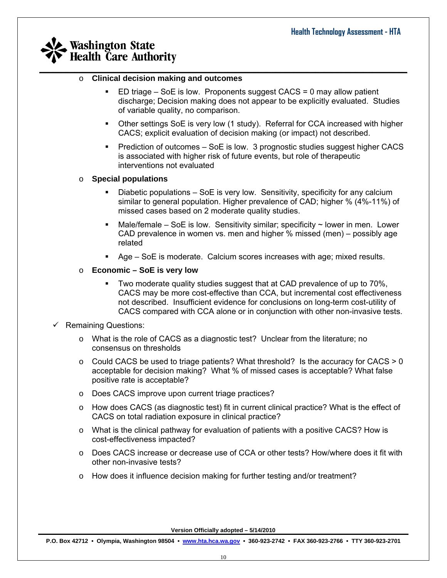#### o **Clinical decision making and outcomes**

 ED triage – SoE is low. Proponents suggest CACS = 0 may allow patient discharge; Decision making does not appear to be explicitly evaluated. Studies of variable quality, no comparison.

 $\_$  , and the set of the set of the set of the set of the set of the set of the set of the set of the set of the set of the set of the set of the set of the set of the set of the set of the set of the set of the set of th

- Other settings SoE is very low (1 study). Referral for CCA increased with higher CACS; explicit evaluation of decision making (or impact) not described.
- Prediction of outcomes SoE is low. 3 prognostic studies suggest higher CACS is associated with higher risk of future events, but role of therapeutic interventions not evaluated

#### o **Special populations**

- Diabetic populations SoE is very low. Sensitivity, specificity for any calcium similar to general population. Higher prevalence of CAD; higher % (4%-11%) of missed cases based on 2 moderate quality studies.
- Male/female SoE is low. Sensitivity similar; specificity  $\sim$  lower in men. Lower CAD prevalence in women vs. men and higher % missed (men) – possibly age related
- Age SoE is moderate. Calcium scores increases with age; mixed results.
- o **Economic SoE is very low** 
	- Two moderate quality studies suggest that at CAD prevalence of up to 70%, CACS may be more cost-effective than CCA, but incremental cost effectiveness not described. Insufficient evidence for conclusions on long-term cost-utility of CACS compared with CCA alone or in conjunction with other non-invasive tests.

#### $\checkmark$  Remaining Questions:

- $\circ$  What is the role of CACS as a diagnostic test? Unclear from the literature; no consensus on thresholds
- $\circ$  Could CACS be used to triage patients? What threshold? Is the accuracy for CACS  $> 0$ acceptable for decision making? What % of missed cases is acceptable? What false positive rate is acceptable?
- o Does CACS improve upon current triage practices?
- o How does CACS (as diagnostic test) fit in current clinical practice? What is the effect of CACS on total radiation exposure in clinical practice?
- $\circ$  What is the clinical pathway for evaluation of patients with a positive CACS? How is cost-effectiveness impacted?
- o Does CACS increase or decrease use of CCA or other tests? How/where does it fit with other non-invasive tests?
- $\circ$  How does it influence decision making for further testing and/or treatment?

**Version Officially adopted – 5/14/2010**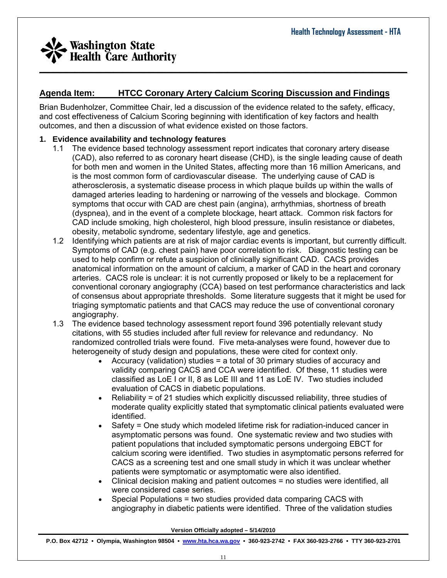

### **Agenda Item: HTCC Coronary Artery Calcium Scoring Discussion and Findings**

Brian Budenholzer, Committee Chair, led a discussion of the evidence related to the safety, efficacy, and cost effectiveness of Calcium Scoring beginning with identification of key factors and health outcomes, and then a discussion of what evidence existed on those factors.

#### **1. Evidence availability and technology features**

- 1.1 The evidence based technology assessment report indicates that coronary artery disease (CAD), also referred to as coronary heart disease (CHD), is the single leading cause of death for both men and women in the United States, affecting more than 16 million Americans, and is the most common form of cardiovascular disease. The underlying cause of CAD is atherosclerosis, a systematic disease process in which plaque builds up within the walls of damaged arteries leading to hardening or narrowing of the vessels and blockage. Common symptoms that occur with CAD are chest pain (angina), arrhythmias, shortness of breath (dyspnea), and in the event of a complete blockage, heart attack. Common risk factors for CAD include smoking, high cholesterol, high blood pressure, insulin resistance or diabetes, obesity, metabolic syndrome, sedentary lifestyle, age and genetics.
- 1.2 Identifying which patients are at risk of major cardiac events is important, but currently difficult. Symptoms of CAD (e.g. chest pain) have poor correlation to risk. Diagnostic testing can be used to help confirm or refute a suspicion of clinically significant CAD. CACS provides anatomical information on the amount of calcium, a marker of CAD in the heart and coronary arteries. CACS role is unclear: it is not currently proposed or likely to be a replacement for conventional coronary angiography (CCA) based on test performance characteristics and lack of consensus about appropriate thresholds. Some literature suggests that it might be used for triaging symptomatic patients and that CACS may reduce the use of conventional coronary angiography.
- 1.3 The evidence based technology assessment report found 396 potentially relevant study citations, with 55 studies included after full review for relevance and redundancy. No randomized controlled trials were found. Five meta-analyses were found, however due to heterogeneity of study design and populations, these were cited for context only.
	- Accuracy (validation) studies = a total of 30 primary studies of accuracy and validity comparing CACS and CCA were identified. Of these, 11 studies were classified as LoE I or II, 8 as LoE III and 11 as LoE IV. Two studies included evaluation of CACS in diabetic populations.
	- Reliability = of 21 studies which explicitly discussed reliability, three studies of moderate quality explicitly stated that symptomatic clinical patients evaluated were identified.
	- Safety = One study which modeled lifetime risk for radiation-induced cancer in asymptomatic persons was found. One systematic review and two studies with patient populations that included symptomatic persons undergoing EBCT for calcium scoring were identified. Two studies in asymptomatic persons referred for CACS as a screening test and one small study in which it was unclear whether patients were symptomatic or asymptomatic were also identified.
	- Clinical decision making and patient outcomes = no studies were identified, all were considered case series.
	- Special Populations = two studies provided data comparing CACS with angiography in diabetic patients were identified. Three of the validation studies

**Version Officially adopted – 5/14/2010**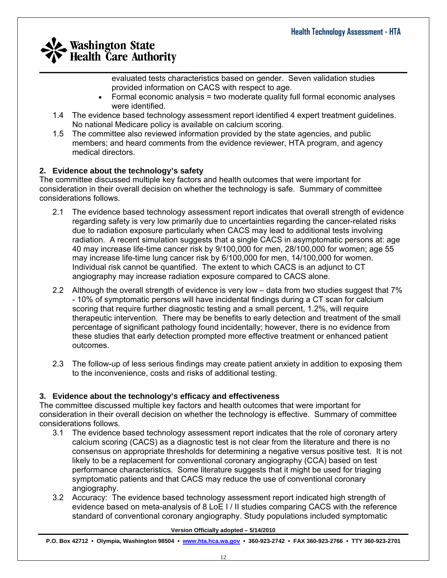evaluated tests characteristics based on gender. Seven validation studies provided information on CACS with respect to age.

- Formal economic analysis = two moderate quality full formal economic analyses were identified.
- 1.4 The evidence based technology assessment report identified 4 expert treatment guidelines. No national Medicare policy is available on calcium scoring.
- 1.5 The committee also reviewed information provided by the state agencies, and public members; and heard comments from the evidence reviewer, HTA program, and agency medical directors.

#### **2. Evidence about the technology's safety**

The committee discussed multiple key factors and health outcomes that were important for consideration in their overall decision on whether the technology is safe. Summary of committee considerations follows.

- 2.1 The evidence based technology assessment report indicates that overall strength of evidence regarding safety is very low primarily due to uncertainties regarding the cancer-related risks due to radiation exposure particularly when CACS may lead to additional tests involving radiation. A recent simulation suggests that a single CACS in asymptomatic persons at: age 40 may increase life-time cancer risk by 9/100,000 for men, 28/100,000 for women; age 55 may increase life-time lung cancer risk by 6/100,000 for men, 14/100,000 for women. Individual risk cannot be quantified. The extent to which CACS is an adjunct to CT angiography may increase radiation exposure compared to CACS alone.
- 2.2 Although the overall strength of evidence is very low data from two studies suggest that 7% - 10% of symptomatic persons will have incidental findings during a CT scan for calcium scoring that require further diagnostic testing and a small percent, 1.2%, will require therapeutic intervention. There may be benefits to early detection and treatment of the small percentage of significant pathology found incidentally; however, there is no evidence from these studies that early detection prompted more effective treatment or enhanced patient outcomes.
- 2.3 The follow-up of less serious findings may create patient anxiety in addition to exposing them to the inconvenience, costs and risks of additional testing.

#### **3. Evidence about the technology's efficacy and effectiveness**

The committee discussed multiple key factors and health outcomes that were important for consideration in their overall decision on whether the technology is effective. Summary of committee considerations follows.

- 3.1 The evidence based technology assessment report indicates that the role of coronary artery calcium scoring (CACS) as a diagnostic test is not clear from the literature and there is no consensus on appropriate thresholds for determining a negative versus positive test. It is not likely to be a replacement for conventional coronary angiography (CCA) based on test performance characteristics. Some literature suggests that it might be used for triaging symptomatic patients and that CACS may reduce the use of conventional coronary angiography.
- 3.2 Accuracy: The evidence based technology assessment report indicated high strength of evidence based on meta-analysis of 8 LoE I / II studies comparing CACS with the reference standard of conventional coronary angiography. Study populations included symptomatic

#### **Version Officially adopted – 5/14/2010**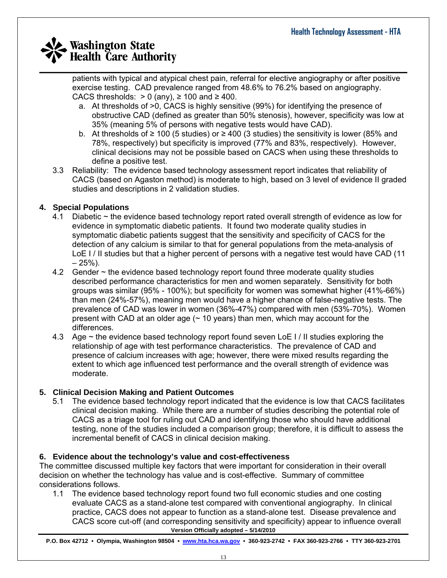patients with typical and atypical chest pain, referral for elective angiography or after positive exercise testing. CAD prevalence ranged from 48.6% to 76.2% based on angiography. CACS thresholds:  $> 0$  (any),  $\geq 100$  and  $\geq 400$ .

- a. At thresholds of >0, CACS is highly sensitive (99%) for identifying the presence of obstructive CAD (defined as greater than 50% stenosis), however, specificity was low at 35% (meaning 5% of persons with negative tests would have CAD).
- b. At thresholds of ≥ 100 (5 studies) or ≥ 400 (3 studies) the sensitivity is lower (85% and 78%, respectively) but specificity is improved (77% and 83%, respectively). However, clinical decisions may not be possible based on CACS when using these thresholds to define a positive test.
- 3.3 Reliability: The evidence based technology assessment report indicates that reliability of CACS (based on Agaston method) is moderate to high, based on 3 level of evidence II graded studies and descriptions in 2 validation studies.

#### **4. Special Populations**

- 4.1 Diabetic ~ the evidence based technology report rated overall strength of evidence as low for evidence in symptomatic diabetic patients. It found two moderate quality studies in symptomatic diabetic patients suggest that the sensitivity and specificity of CACS for the detection of any calcium is similar to that for general populations from the meta-analysis of LoE I / II studies but that a higher percent of persons with a negative test would have CAD (11)  $-25%$ ).
- 4.2 Gender ~ the evidence based technology report found three moderate quality studies described performance characteristics for men and women separately. Sensitivity for both groups was similar (95% - 100%); but specificity for women was somewhat higher (41%-66%) than men (24%-57%), meaning men would have a higher chance of false-negative tests. The prevalence of CAD was lower in women (36%-47%) compared with men (53%-70%). Women present with CAD at an older age  $($   $\sim$  10 years) than men, which may account for the differences.
- 4.3 Age ~ the evidence based technology report found seven LoE I / II studies exploring the relationship of age with test performance characteristics. The prevalence of CAD and presence of calcium increases with age; however, there were mixed results regarding the extent to which age influenced test performance and the overall strength of evidence was moderate.

#### **5. Clinical Decision Making and Patient Outcomes**

5.1 The evidence based technology report indicated that the evidence is low that CACS facilitates clinical decision making. While there are a number of studies describing the potential role of CACS as a triage tool for ruling out CAD and identifying those who should have additional testing, none of the studies included a comparison group; therefore, it is difficult to assess the incremental benefit of CACS in clinical decision making.

#### **6. Evidence about the technology's value and cost-effectiveness**

The committee discussed multiple key factors that were important for consideration in their overall decision on whether the technology has value and is cost-effective. Summary of committee considerations follows.

**Version Officially adopted – 5/14/2010**  1.1 The evidence based technology report found two full economic studies and one costing evaluate CACS as a stand-alone test compared with conventional angiography. In clinical practice, CACS does not appear to function as a stand-alone test. Disease prevalence and CACS score cut-off (and corresponding sensitivity and specificity) appear to influence overall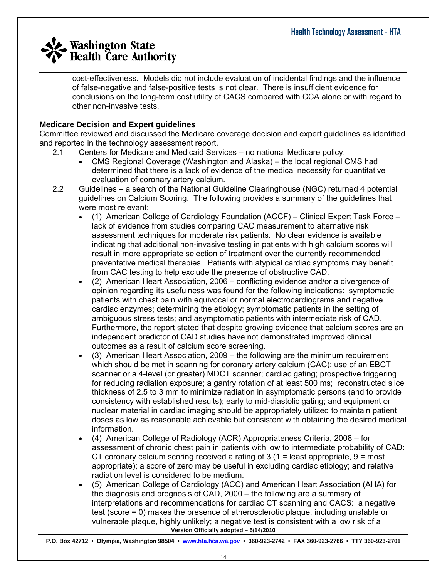$\_$  , and the set of the set of the set of the set of the set of the set of the set of the set of the set of the set of the set of the set of the set of the set of the set of the set of the set of the set of the set of th cost-effectiveness. Models did not include evaluation of incidental findings and the influence of false-negative and false-positive tests is not clear. There is insufficient evidence for conclusions on the long-term cost utility of CACS compared with CCA alone or with regard to other non-invasive tests.

#### **Medicare Decision and Expert guidelines**

Committee reviewed and discussed the Medicare coverage decision and expert guidelines as identified and reported in the technology assessment report.

- 2.1 Centers for Medicare and Medicaid Services no national Medicare policy.
	- CMS Regional Coverage (Washington and Alaska) the local regional CMS had determined that there is a lack of evidence of the medical necessity for quantitative evaluation of coronary artery calcium.
- 2.2 Guidelines a search of the National Guideline Clearinghouse (NGC) returned 4 potential guidelines on Calcium Scoring. The following provides a summary of the guidelines that were most relevant:
	- (1) American College of Cardiology Foundation (ACCF) Clinical Expert Task Force lack of evidence from studies comparing CAC measurement to alternative risk assessment techniques for moderate risk patients. No clear evidence is available indicating that additional non-invasive testing in patients with high calcium scores will result in more appropriate selection of treatment over the currently recommended preventative medical therapies. Patients with atypical cardiac symptoms may benefit from CAC testing to help exclude the presence of obstructive CAD.
	- (2) American Heart Association, 2006 conflicting evidence and/or a divergence of opinion regarding its usefulness was found for the following indications: symptomatic patients with chest pain with equivocal or normal electrocardiograms and negative cardiac enzymes; determining the etiology; symptomatic patients in the setting of ambiguous stress tests; and asymptomatic patients with intermediate risk of CAD. Furthermore, the report stated that despite growing evidence that calcium scores are an independent predictor of CAD studies have not demonstrated improved clinical outcomes as a result of calcium score screening.
	- (3) American Heart Association, 2009 the following are the minimum requirement which should be met in scanning for coronary artery calcium (CAC): use of an EBCT scanner or a 4-level (or greater) MDCT scanner; cardiac gating; prospective triggering for reducing radiation exposure; a gantry rotation of at least 500 ms; reconstructed slice thickness of 2.5 to 3 mm to minimize radiation in asymptomatic persons (and to provide consistency with established results); early to mid-diastolic gating; and equipment or nuclear material in cardiac imaging should be appropriately utilized to maintain patient doses as low as reasonable achievable but consistent with obtaining the desired medical information.
	- (4) American College of Radiology (ACR) Appropriateness Criteria, 2008 for assessment of chronic chest pain in patients with low to intermediate probability of CAD: CT coronary calcium scoring received a rating of  $3$  (1 = least appropriate, 9 = most appropriate); a score of zero may be useful in excluding cardiac etiology; and relative radiation level is considered to be medium.
	- **Version Officially adopted 5/14/2010**  • (5) American College of Cardiology (ACC) and American Heart Association (AHA) for the diagnosis and prognosis of CAD, 2000 – the following are a summary of interpretations and recommendations for cardiac CT scanning and CACS: a negative test (score = 0) makes the presence of atherosclerotic plaque, including unstable or vulnerable plaque, highly unlikely; a negative test is consistent with a low risk of a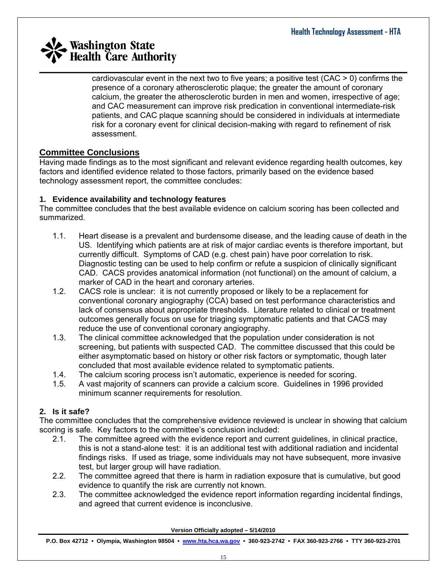cardiovascular event in the next two to five years; a positive test (CAC > 0) confirm s the presence of a coronary atherosclerotic plaque; the greater the amount of coronary calcium, the greater the atherosclerotic burden in men and women, irrespective of a ge; and CAC measurement can improve risk predication in conventional intermediate-risk patients, and CAC plaque scanning should be considered in individuals at intermediate risk for a coronary event for clinical decision-making with regard to refinement of risk assessment.

#### **Committee Conclusions**

Having made findings as to the most significant and relevant evidence regarding health outcomes, key factors and identified evidence related to those factors, primarily based on the evidence based technology assessment report, the committee concludes:

#### **. Evidence availability and technology features 1**

The committee concludes that the best available evidence on calcium scoring has been collected and summarized.

- 1.1. Heart disease is a prevalent and burdensome disease, and the leading cause of death in the Diagnostic testing can be used to help confirm or refute a suspicion of clinically significant US. Identifying which patients are at risk of major cardiac events is therefore important, but currently difficult. Symptoms of CAD (e.g. chest pain) have poor correlation to risk. CAD. CACS provides anatomical information (not functional) on the amount of calcium, a marker of CAD in the heart and coronary arteries.
- 1.2. CACS role is unclear: it is not currently proposed or likely to be a replacement for conventional coronary angiography (CCA) based on test performance characteristics and lack of consensus about appropriate thresholds. Literature related to clinical or treatment outcomes generally focus on use for triaging symptomatic patients and that CACS may reduce the use of conventional coronary angiography.
- 1.3. The clinical committee acknowledged that the population under consideration is not screening, but patients with suspected CAD. The committee discussed that this could be either asymptomatic based on history or other risk factors or symptomatic, though later concluded that most available evidence related to symptomatic patients.
- 1.4. The calcium scoring process isn't automatic, experience is needed for scoring.
- 1.5. A vast majority of scanners can provide a calcium score. Guidelines in 1996 provided minimum scanner requirements for resolution.

#### **2. it safe? Is**

The committee concludes that the comprehensive evidence reviewed is unclear in showing that calcium scoring is safe. Key factors to the committee's conclusion included:

- 2.1. The committee agreed with the evidence report and current guidelines, in clinical practice, this is not a stand-alone test: it is an additional test with additional radiation and incidental findings risks. If used as triage, some individuals may not have subsequent, more invasive test, but larger group will have radiation.
- 2.2. The committee agreed that there is harm in radiation exposure that is cumulative, but good evidence to quantify the risk are currently not known.
- 2.3. The committee acknowledged the evidence report information regarding incidental findings, and agreed that current evidence is inconclusive.

**Version Officially adopted – 5/14/2010**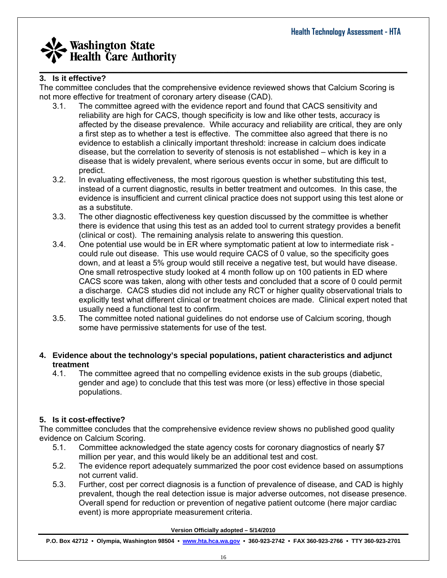#### **3. it effective? Is**

The committee concludes that the comprehensive evidence reviewed shows that Calcium Scoring is not more effective for treatment of coronary artery disease (CAD).

- 3.1. The committee agreed with the evidence report and found that CACS sensitivity and affected by the disease prevalence. While accuracy and reliability are critical, they are only reliability are high for CACS, though specificity is low and like other tests, accuracy is a first step as to whether a test is effective. The committee also agreed that there is no evidence to establish a clinically important threshold: increase in calcium does indicate disease, but the correlation to severity of stenosis is not established – which is key in a disease that is widely prevalent, where serious events occur in some, but are difficult to predict.
- 3.2. In evaluating effectiveness, the most rigorous question is whether substituting this test, instead of a current diagnostic, results in better treatment and outcomes. In this case, the evidence is insufficient and current clinical practice does not support using this test alone or as a substitute.
- 3.3. The other diagnostic effectiveness key question discussed by the committee is whether there is evidence that using this test as an added tool to current strategy provides a benefit (clinical or cost). The remaining analysis relate to answering this question.
- 3.4. One potential use would be in ER where symptomatic patient at low to intermediate risk down, and at least a 5% group would still receive a negative test, but would have disease. could rule out disease. This use would require CACS of 0 value, so the specificity goes One small retrospective study looked at 4 month follow up on 100 patients in ED where CACS score was taken, along with other tests and concluded that a score of 0 could permit a discharge. CACS studies did not include any RCT or higher quality observational trials to explicitly test what different clinical or treatment choices are made. Clinical expert noted that usually need a functional test to confirm.
- 3.5. The committee noted national guidelines do not endorse use of Calcium scoring, though some have permissive statements for use of the test.

#### 4. Evidence about the technology's special populations, patient characteristics and adjunct **treatment**

4.1. The committee agreed that no compelling evidence exists in the sub groups (diabetic, gender and age) to conclude that this test was more (or less) effective in those special populations.

#### **. Is it cost-effective? 5**

The committee concludes that the comprehensive evidence review shows no published good quality evidence on Calcium Scoring.

- 5.1. Committee acknowledged the state agency costs for coronary diagnostics of nearly \$7 million per year, and this would likely be an additional test and cost.
- 5.2. The evidence report adequately summarized the poor cost evidence based on assumptions not current valid.
- 5.3. Further, cost per correct diagnosis is a function of prevalence of disease, and CAD is highly prevalent, though the real detection issue is major adverse outcomes, not disease presence. Overall spend for reduction or prevention of negative patient outcome (here major cardiac event) is more appropriate measurement criteria.

**Version Officially adopted – 5/14/2010**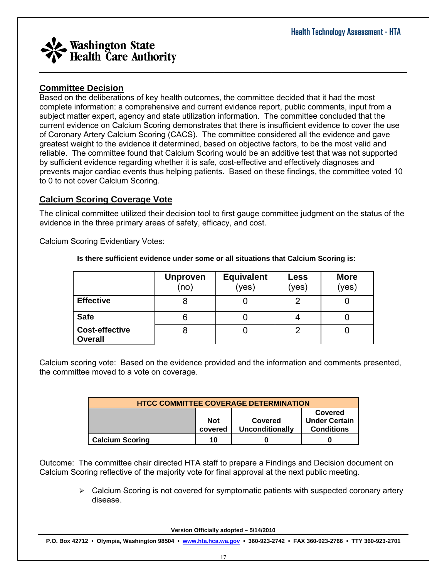

#### **Committee Decision**

Based on the deliberations of key health outcomes, the committee decided that it had the most complete information: a comprehensive and current evidence report, public comments, input from a current evidence on Calcium Scoring demonstrates that there is insufficient evidence to cover the use reliable. The committee found that Calcium Scoring would be an additive test that was not supported prevents major cardiac events thus helping patients. Based on these findings, the committee voted 10 subject matter expert, agency and state utilization information. The committee concluded that the of Coronary Artery Calcium Scoring (CACS). The committee considered all the evidence and gave greatest weight to the evidence it determined, based on objective factors, to be the most valid and by sufficient evidence regarding whether it is safe, cost-effective and effectively diagnoses and to 0 to not cover Calcium Scoring.

#### **Calcium Scoring Coverage Vote**

The clinical committee utilized their decision tool to first gauge committee judgment on the status of the evidence in the three primary areas of safety, efficacy, and cost.

Calcium Scoring Evidentiary Votes:

|                                         | <b>Unproven</b><br>(no) | <b>Equivalent</b><br>(yes) | <b>Less</b><br>(yes) | <b>More</b><br>(yes) |
|-----------------------------------------|-------------------------|----------------------------|----------------------|----------------------|
| <b>Effective</b>                        |                         |                            |                      |                      |
| <b>Safe</b>                             | 6                       |                            |                      |                      |
| <b>Cost-effective</b><br><b>Overall</b> | О                       | U                          | റ                    |                      |

 **there sufficient evidence under some or all situations that Calcium Scoring is: Is**

Calcium scoring vote: Based on the evidence provided and the information and comments presented, the committee moved to a vote on coverage.

| <b>HTCC COMMITTEE COVERAGE DETERMINATION</b>                                                                |    |  |  |  |  |  |
|-------------------------------------------------------------------------------------------------------------|----|--|--|--|--|--|
| Covered<br><b>Under Certain</b><br><b>Not</b><br>Covered<br>Unconditionally<br><b>Conditions</b><br>covered |    |  |  |  |  |  |
| <b>Calcium Scoring</b>                                                                                      | 10 |  |  |  |  |  |

Outcome: The committee chair directed HTA staff to prepare a Findings and Decision document on Calcium Scoring reflective of the majority vote for final approval at the next public meeting.

> $\triangleright$  Calcium Scoring is not covered for symptomatic patients with suspected coronary artery disease.

> > **Version Officially adopted – 5/14/2010**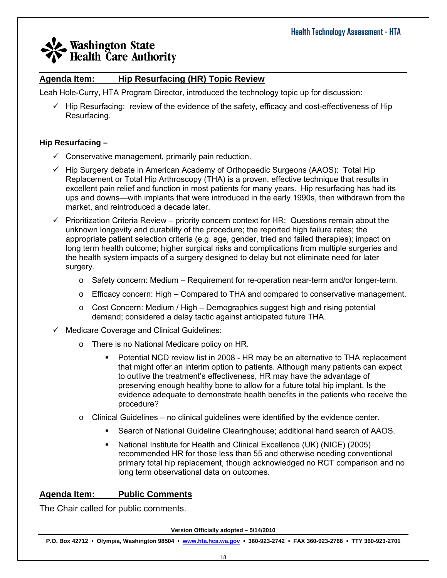#### **Agenda Item: Hip Resurfacing (HR) Topic Review**

Leah Hole-Curry, HTA Program Director, introduced the technology topic up for discussion:

 $\checkmark$  Hip Resurfacing: review of the evidence of the safety, efficacy and cost-effectiveness of Hip Resurfacing.

 $\_$  , and the set of the set of the set of the set of the set of the set of the set of the set of the set of the set of the set of the set of the set of the set of the set of the set of the set of the set of the set of th

#### **Hip Resurfacing –**

- $\checkmark$  Conservative management, primarily pain reduction.
- $\checkmark$  Hip Surgery debate in American Academy of Orthopaedic Surgeons (AAOS): Total Hip Replacement or Total Hip Arthroscopy (THA) is a proven, effective technique that results in excellent pain relief and function in most patients for many years. Hip resurfacing has had its ups and downs—with implants that were introduced in the early 1990s, then withdrawn from the market, and reintroduced a decade later.
- $\checkmark$  Prioritization Criteria Review priority concern context for HR: Questions remain about the unknown longevity and durability of the procedure; the reported high failure rates; the appropriate patient selection criteria (e.g. age, gender, tried and failed therapies); impact on long term health outcome; higher surgical risks and complications from multiple surgeries and the health system impacts of a surgery designed to delay but not eliminate need for later surgery.
	- o Safety concern: Medium Requirement for re-operation near-term and/or longer-term.
	- o Efficacy concern: High Compared to THA and compared to conservative management.
	- $\circ$  Cost Concern: Medium / High Demographics suggest high and rising potential demand; considered a delay tactic against anticipated future THA.
- $\checkmark$  Medicare Coverage and Clinical Guidelines:
	- o There is no National Medicare policy on HR.
		- Potential NCD review list in 2008 HR may be an alternative to THA replacement that might offer an interim option to patients. Although many patients can expect to outlive the treatment's effectiveness, HR may have the advantage of preserving enough healthy bone to allow for a future total hip implant. Is the evidence adequate to demonstrate health benefits in the patients who receive the procedure?
	- o Clinical Guidelines no clinical guidelines were identified by the evidence center.
		- Search of National Guideline Clearinghouse; additional hand search of AAOS.
		- National Institute for Health and Clinical Excellence (UK) (NICE) (2005) recommended HR for those less than 55 and otherwise needing conventional primary total hip replacement, though acknowledged no RCT comparison and no long term observational data on outcomes.

#### **Agenda Item: Public Comments**

The Chair called for public comments.

**Version Officially adopted – 5/14/2010**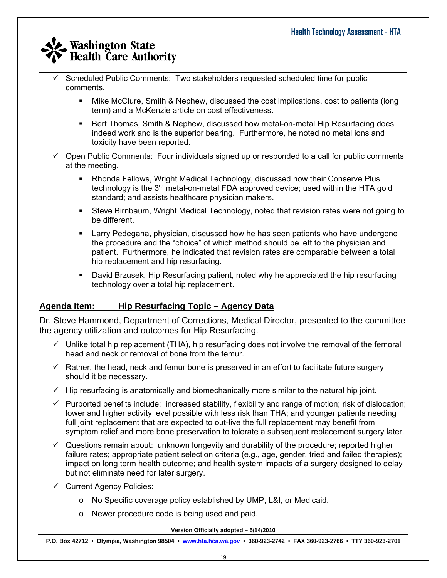- $\_$  , and the set of the set of the set of the set of the set of the set of the set of the set of the set of the set of the set of the set of the set of the set of the set of the set of the set of the set of the set of th 9 Scheduled Public Comments: Two stakeholders requested scheduled time for public comments.
	- Mike McClure, Smith & Nephew, discussed the cost implications, cost to patients (long term) and a McKenzie article on cost effectiveness.
	- **Bert Thomas, Smith & Nephew, discussed how metal-on-metal Hip Resurfacing does** indeed work and is the superior bearing. Furthermore, he noted no metal ions and toxicity have been reported.
	- $\checkmark$  Open Public Comments: Four individuals signed up or responded to a call for public comments at the meeting.
		- Rhonda Fellows, Wright Medical Technology, discussed how their Conserve Plus technology is the  $3<sup>rd</sup>$  metal-on-metal FDA approved device; used within the HTA gold standard; and assists healthcare physician makers.
		- Steve Birnbaum, Wright Medical Technology, noted that revision rates were not going to be different.
		- Larry Pedegana, physician, discussed how he has seen patients who have undergone the procedure and the "choice" of which method should be left to the physician and patient. Furthermore, he indicated that revision rates are comparable between a total hip replacement and hip resurfacing.
		- David Brzusek, Hip Resurfacing patient, noted why he appreciated the hip resurfacing technology over a total hip replacement.

#### **Agenda Item: Hip Resurfacing Topic – Agency Data**

Dr. Steve Hammond, Department of Corrections, Medical Director, presented to the committee the agency utilization and outcomes for Hip Resurfacing.

- $\checkmark$  Unlike total hip replacement (THA), hip resurfacing does not involve the removal of the femoral head and neck or removal of bone from the femur.
- $\checkmark$  Rather, the head, neck and femur bone is preserved in an effort to facilitate future surgery should it be necessary.
- $\checkmark$  Hip resurfacing is anatomically and biomechanically more similar to the natural hip joint.
- $\checkmark$  Purported benefits include: increased stability, flexibility and range of motion; risk of dislocation; lower and higher activity level possible with less risk than THA; and younger patients needing full joint replacement that are expected to out-live the full replacement may benefit from symptom relief and more bone preservation to tolerate a subsequent replacement surgery later.
- $\checkmark$  Questions remain about: unknown longevity and durability of the procedure; reported higher failure rates; appropriate patient selection criteria (e.g., age, gender, tried and failed therapies); impact on long term health outcome; and health system impacts of a surgery designed to delay but not eliminate need for later surgery.
- $\checkmark$  Current Agency Policies:
	- o No Specific coverage policy established by UMP, L&I, or Medicaid.
	- o Newer procedure code is being used and paid.

**Version Officially adopted – 5/14/2010**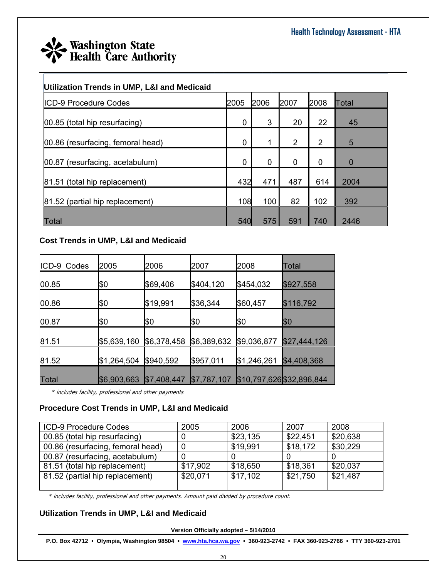

#### **Utilization Trends in UMP, L&I and Medicaid**

| <b>ICD-9 Procedure Codes</b>      | 2005 | 2006 | 2007           | 2008           | <b>Total</b>   |
|-----------------------------------|------|------|----------------|----------------|----------------|
| 00.85 (total hip resurfacing)     | 0    | 3    | 20             | 22             | 45             |
| 00.86 (resurfacing, femoral head) | 0    |      | $\overline{2}$ | $\overline{2}$ | 5              |
| 00.87 (resurfacing, acetabulum)   | 0    | 0    | 0              | 0              | $\overline{0}$ |
| 81.51 (total hip replacement)     | 432  | 471  | 487            | 614            | 2004           |
| 81.52 (partial hip replacement)   | 108  | 100  | 82             | 102            | 392            |
| Total                             | 540  | 575  | 591            | 740            | 2446           |

#### **Cost Trends in UMP, L&I and Medicaid**

| IICD-9 Codes | 2005        | 2006        | 2007        | 2008        | Total                     |
|--------------|-------------|-------------|-------------|-------------|---------------------------|
| 00.85        | \$0         | \$69,406    | \$404,120   | \$454,032   | \$927,558                 |
| 00.86        | β0          | \$19,991    | \$36,344    | \$60,457    | \$116,792                 |
| 00.87        | β0          | β0          | \$0         | β0          | \$0                       |
| 81.51        | \$5,639,160 | \$6,378,458 | \$6,389,632 | \$9,036,877 | \$27,444,126              |
| 81.52        | \$1,264,504 | \$940,592   | \$957,011   | \$1,246,261 | \$4,408,368               |
| <b>Total</b> | \$6,903,663 | \$7,408,447 | \$7,787,107 |             | \$10,797,626 \$32,896,844 |

\* includes facility, professional and other payments

#### **Procedure Cost Trends in UMP, L&I and Medicaid**

| ICD-9 Procedure Codes             | 2005     | 2006     | 2007     | 2008     |
|-----------------------------------|----------|----------|----------|----------|
| 00.85 (total hip resurfacing)     |          | \$23,135 | \$22.451 | \$20,638 |
| 00.86 (resurfacing, femoral head) |          | \$19,991 | \$18,172 | \$30,229 |
| 00.87 (resurfacing, acetabulum)   |          |          |          |          |
| 81.51 (total hip replacement)     | \$17,902 | \$18,650 | \$18,361 | \$20,037 |
| 81.52 (partial hip replacement)   | \$20,071 | \$17,102 | \$21,750 | \$21,487 |
|                                   |          |          |          |          |

\* includes facility, professional and other payments. Amount paid divided by procedure count.

#### **Utilization Trends in UMP, L&I and Medicaid**

**Version Officially adopted – 5/14/2010**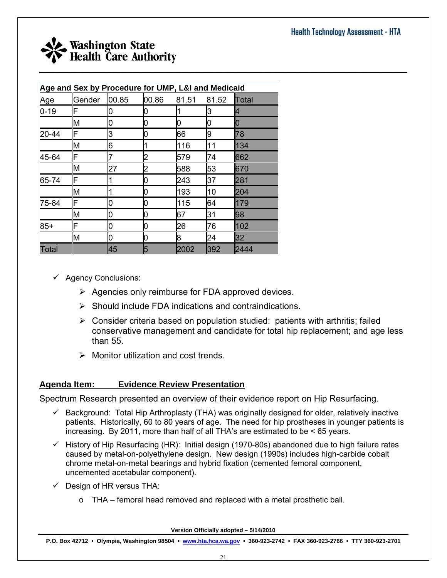![](_page_20_Picture_1.jpeg)

| Age and Sex by Procedure for UMP, L&I and Medicaid |        |       |       |       |       |       |  |
|----------------------------------------------------|--------|-------|-------|-------|-------|-------|--|
| Age                                                | Gender | 00.85 | 00.86 | 81.51 | 81.52 | Total |  |
| $0 - 19$                                           | F      | O     | 0     |       | 3     | 4     |  |
|                                                    | M      | 0     |       | 0     | Ю     | 10    |  |
| 20-44                                              | F      | 3     | 0     | 66    | 9     | 78    |  |
|                                                    | M      | 6     |       | 116   | 11    | 134   |  |
| 45-64                                              | F      | 7     | 2     | 579   | 74    | 662   |  |
|                                                    | M      | 27    | 2     | 588   | 53    | 670   |  |
| 65-74                                              | F      | 1     | 0     | 243   | 37    | 281   |  |
|                                                    | M      |       | 0     | 193   | 10    | 204   |  |
| 75-84                                              | F      | 0     | 0     | 115   | 64    | 179   |  |
|                                                    | M      | 0     | 0     | 67    | 31    | 98    |  |
| $85+$                                              | F      | 0     | 0     | 26    | 76    | 102   |  |
|                                                    | M      | Ю     | 0     | 8     | 24    | 32    |  |
| Total                                              |        | 45    | 5     | 2002  | 392   | 2444  |  |

- $\checkmark$  Agency Conclusions:
	- $\triangleright$  Agencies only reimburse for FDA approved devices.
	- $\triangleright$  Should include FDA indications and contraindications.
	- $\triangleright$  Consider criteria based on population studied: patients with arthritis; failed conservative management and candidate for total hip replacement; and age less than 55.
	- $\triangleright$  Monitor utilization and cost trends.

#### **Agenda Item: Evidence Review Presentation**

Spectrum Research presented an overview of their evidence report on Hip Resurfacing.

- $\checkmark$  Background: Total Hip Arthroplasty (THA) was originally designed for older, relatively inactive patients. Historically, 60 to 80 years of age. The need for hip prostheses in younger patients is increasing. By 2011, more than half of all THA's are estimated to be < 65 years.
- $\checkmark$  History of Hip Resurfacing (HR): Initial design (1970-80s) abandoned due to high failure rates caused by metal-on-polyethylene design. New design (1990s) includes high-carbide cobalt chrome metal-on-metal bearings and hybrid fixation (cemented femoral component, uncemented acetabular component).
- $\checkmark$  Design of HR versus THA:
	- o THA femoral head removed and replaced with a metal prosthetic ball.

**Version Officially adopted – 5/14/2010**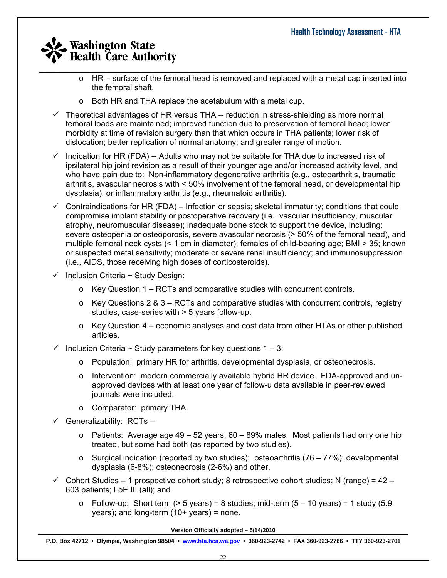- $\_$  , and the set of the set of the set of the set of the set of the set of the set of the set of the set of the set of the set of the set of the set of the set of the set of the set of the set of the set of the set of th  $\circ$  HR – surface of the femoral head is removed and replaced with a metal cap inserted into the femoral shaft.
	- o Both HR and THA replace the acetabulum with a metal cup.
	- $\checkmark$  Theoretical advantages of HR versus THA -- reduction in stress-shielding as more normal femoral loads are maintained; improved function due to preservation of femoral head; lower morbidity at time of revision surgery than that which occurs in THA patients; lower risk of dislocation; better replication of normal anatomy; and greater range of motion.
	- $\checkmark$  Indication for HR (FDA) -- Adults who may not be suitable for THA due to increased risk of ipsilateral hip joint revision as a result of their younger age and/or increased activity level, and who have pain due to: Non-inflammatory degenerative arthritis (e.g., osteoarthritis, traumatic arthritis, avascular necrosis with < 50% involvement of the femoral head, or developmental hip dysplasia), or inflammatory arthritis (e.g., rheumatoid arthritis).
	- $\checkmark$  Contraindications for HR (FDA) Infection or sepsis; skeletal immaturity; conditions that could compromise implant stability or postoperative recovery (i.e., vascular insufficiency, muscular atrophy, neuromuscular disease); inadequate bone stock to support the device, including: severe osteopenia or osteoporosis, severe avascular necrosis (> 50% of the femoral head), and multiple femoral neck cysts (< 1 cm in diameter); females of child-bearing age; BMI > 35; known or suspected metal sensitivity; moderate or severe renal insufficiency; and immunosuppression (i.e., AIDS, those receiving high doses of corticosteroids).
	- $\checkmark$  Inclusion Criteria ~ Study Design:
		- $\circ$  Key Question 1 RCTs and comparative studies with concurrent controls.
		- $\circ$  Key Questions 2 & 3 RCTs and comparative studies with concurrent controls, registry studies, case-series with > 5 years follow-up.
		- $\circ$  Key Question 4 economic analyses and cost data from other HTAs or other published articles.
	- $\checkmark$  Inclusion Criteria ~ Study parameters for key questions 1 3:
		- o Population: primary HR for arthritis, developmental dysplasia, or osteonecrosis.
		- o Intervention: modern commercially available hybrid HR device. FDA-approved and unapproved devices with at least one year of follow-u data available in peer-reviewed journals were included.
		- o Comparator: primary THA.
	- $\checkmark$  Generalizability: RCTs
		- $\circ$  Patients: Average age 49 52 years, 60 89% males. Most patients had only one hip treated, but some had both (as reported by two studies).
		- $\circ$  Surgical indication (reported by two studies): osteoarthritis (76 77%); developmental dysplasia (6-8%); osteonecrosis (2-6%) and other.
	- $\checkmark$  Cohort Studies 1 prospective cohort study; 8 retrospective cohort studies; N (range) = 42 603 patients; LoE III (all); and
		- $\circ$  Follow-up: Short term (> 5 years) = 8 studies; mid-term (5 10 years) = 1 study (5.9 years); and long-term  $(10+)$  years) = none.

**Version Officially adopted – 5/14/2010**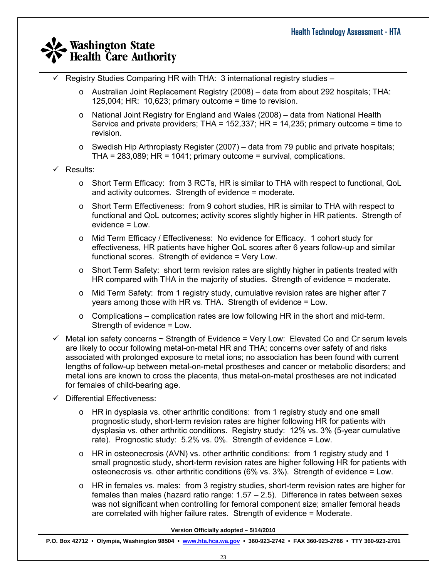- 9 Registry Studies Comparing HR with THA: 3 international registry studies
	- $\circ$  Australian Joint Replacement Registry (2008) data from about 292 hospitals; THA: 125,004; HR: 10,623; primary outcome = time to revision.
	- $\circ$  National Joint Registry for England and Wales (2008) data from National Health Service and private providers; THA = 152,337; HR = 14,235; primary outcome = time to revision.
	- $\circ$  Swedish Hip Arthroplasty Register (2007) data from 79 public and private hospitals; THA = 283,089; HR = 1041; primary outcome = survival, complications.
- $\checkmark$  Results:
	- o Short Term Efficacy: from 3 RCTs, HR is similar to THA with respect to functional, QoL and activity outcomes. Strength of evidence = moderate.
	- $\circ$  Short Term Effectiveness: from 9 cohort studies, HR is similar to THA with respect to functional and QoL outcomes; activity scores slightly higher in HR patients. Strength of evidence = Low.
	- o Mid Term Efficacy / Effectiveness: No evidence for Efficacy. 1 cohort study for effectiveness, HR patients have higher QoL scores after 6 years follow-up and similar functional scores. Strength of evidence = Very Low.
	- $\circ$  Short Term Safety: short term revision rates are slightly higher in patients treated with HR compared with THA in the majority of studies. Strength of evidence = moderate.
	- $\circ$  Mid Term Safety: from 1 registry study, cumulative revision rates are higher after 7 years among those with HR vs. THA. Strength of evidence = Low.
	- $\circ$  Complications complication rates are low following HR in the short and mid-term. Strength of evidence = Low.
- $\checkmark$  Metal ion safety concerns  $\sim$  Strength of Evidence = Very Low: Elevated Co and Cr serum levels are likely to occur following metal-on-metal HR and THA; concerns over safety of and risks associated with prolonged exposure to metal ions; no association has been found with current lengths of follow-up between metal-on-metal prostheses and cancer or metabolic disorders; and metal ions are known to cross the placenta, thus metal-on-metal prostheses are not indicated for females of child-bearing age.
- $\checkmark$  Differential Effectiveness:
	- $\circ$  HR in dysplasia vs. other arthritic conditions: from 1 registry study and one small prognostic study, short-term revision rates are higher following HR for patients with dysplasia vs. other arthritic conditions. Registry study: 12% vs. 3% (5-year cumulative rate). Prognostic study: 5.2% vs. 0%. Strength of evidence = Low.
	- o HR in osteonecrosis (AVN) vs. other arthritic conditions: from 1 registry study and 1 small prognostic study, short-term revision rates are higher following HR for patients with osteonecrosis vs. other arthritic conditions (6% vs. 3%). Strength of evidence = Low.
	- $\circ$  HR in females vs. males: from 3 registry studies, short-term revision rates are higher for females than males (hazard ratio range: 1.57 – 2.5). Difference in rates between sexes was not significant when controlling for femoral component size; smaller femoral heads are correlated with higher failure rates. Strength of evidence = Moderate.

**Version Officially adopted – 5/14/2010**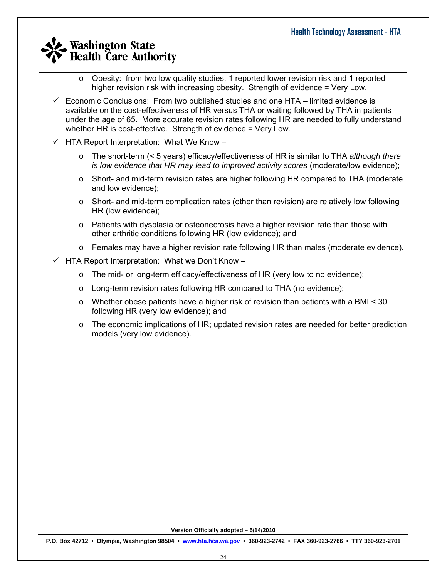- $\_$  , and the set of the set of the set of the set of the set of the set of the set of the set of the set of the set of the set of the set of the set of the set of the set of the set of the set of the set of the set of th  $\circ$  Obesity: from two low quality studies, 1 reported lower revision risk and 1 reported higher revision risk with increasing obesity. Strength of evidence = Very Low.
	- $\checkmark$  Economic Conclusions: From two published studies and one HTA limited evidence is available on the cost-effectiveness of HR versus THA or waiting followed by THA in patients under the age of 65. More accurate revision rates following HR are needed to fully understand whether HR is cost-effective. Strength of evidence = Very Low.
	- $\checkmark$  HTA Report Interpretation: What We Know
		- o The short-term (< 5 years) efficacy/effectiveness of HR is similar to THA *although there is low evidence that HR may lead to improved activity scores (moderate/low evidence);*
		- $\circ$  Short- and mid-term revision rates are higher following HR compared to THA (moderate and low evidence);
		- $\circ$  Short- and mid-term complication rates (other than revision) are relatively low following HR (low evidence);
		- $\circ$  Patients with dysplasia or osteonecrosis have a higher revision rate than those with other arthritic conditions following HR (low evidence); and
		- o Females may have a higher revision rate following HR than males (moderate evidence).
	- $\checkmark$  HTA Report Interpretation: What we Don't Know
		- o The mid- or long-term efficacy/effectiveness of HR (very low to no evidence);
		- o Long-term revision rates following HR compared to THA (no evidence);
		- $\circ$  Whether obese patients have a higher risk of revision than patients with a BMI  $\leq$  30 following HR (very low evidence); and
		- o The economic implications of HR; updated revision rates are needed for better prediction models (very low evidence).

**Version Officially adopted – 5/14/2010**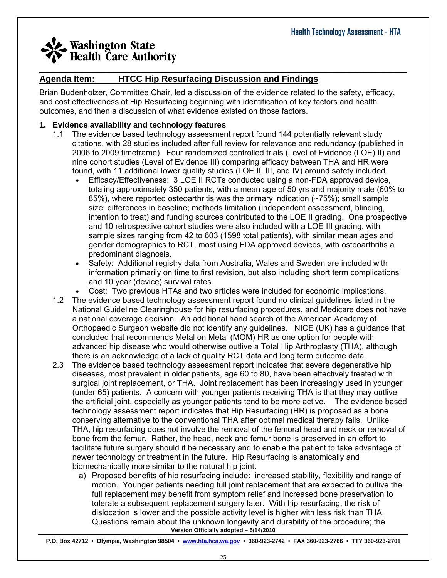#### $\_$  , and the set of the set of the set of the set of the set of the set of the set of the set of the set of the set of the set of the set of the set of the set of the set of the set of the set of the set of the set of th **Agenda Item: HTCC Hip Resurfacing Discussion and Findings**

Brian Budenholzer, Committee Chair, led a discussion of the evidence related to the safety, efficacy, and cost effectiveness of Hip Resurfacing beginning with identification of key factors and health outcomes, and then a discussion of what evidence existed on those factors.

#### **1. Evidence availability and technology features**

- 1.1 The evidence based technology assessment report found 144 potentially relevant study citations, with 28 studies included after full review for relevance and redundancy (published in 2006 to 2009 timeframe). Four randomized controlled trials (Level of Evidence (LOE) II) and nine cohort studies (Level of Evidence III) comparing efficacy between THA and HR were found, with 11 additional lower quality studies (LOE II, III, and IV) around safety included.
	- Efficacy/Effectiveness: 3 LOE II RCTs conducted using a non-FDA approved device, totaling approximately 350 patients, with a mean age of 50 yrs and majority male (60% to 85%), where reported osteoarthritis was the primary indication (~75%); small sample size; differences in baseline; methods limitation (independent assessment, blinding, intention to treat) and funding sources contributed to the LOE II grading. One prospective and 10 retrospective cohort studies were also included with a LOE III grading, with sample sizes ranging from 42 to 603 (1598 total patients), with similar mean ages and gender demographics to RCT, most using FDA approved devices, with osteoarthritis a predominant diagnosis.
	- Safety: Additional registry data from Australia, Wales and Sweden are included with information primarily on time to first revision, but also including short term complications and 10 year (device) survival rates.
		- Cost: Two previous HTAs and two articles were included for economic implications.
- 1.2 The evidence based technology assessment report found no clinical guidelines listed in the National Guideline Clearinghouse for hip resurfacing procedures, and Medicare does not have a national coverage decision. An additional hand search of the American Academy of Orthopaedic Surgeon website did not identify any guidelines. NICE (UK) has a guidance that concluded that recommends Metal on Metal (MOM) HR as one option for people with advanced hip disease who would otherwise outlive a Total Hip Arthroplasty (THA), although there is an acknowledge of a lack of quality RCT data and long term outcome data.
- 2.3 The evidence based technology assessment report indicates that severe degenerative hip diseases, most prevalent in older patients, age 60 to 80, have been effectively treated with surgical joint replacement, or THA. Joint replacement has been increasingly used in younger (under 65) patients. A concern with younger patients receiving THA is that they may outlive the artificial joint, especially as younger patients tend to be more active. The evidence based technology assessment report indicates that Hip Resurfacing (HR) is proposed as a bone conserving alternative to the conventional THA after optimal medical therapy fails. Unlike THA, hip resurfacing does not involve the removal of the femoral head and neck or removal of bone from the femur. Rather, the head, neck and femur bone is preserved in an effort to facilitate future surgery should it be necessary and to enable the patient to take advantage of newer technology or treatment in the future. Hip Resurfacing is anatomically and biomechanically more similar to the natural hip joint.
	- **Version Officially adopted 5/14/2010**  a) Proposed benefits of hip resurfacing include: increased stability, flexibility and range of motion. Younger patients needing full joint replacement that are expected to outlive the full replacement may benefit from symptom relief and increased bone preservation to tolerate a subsequent replacement surgery later. With hip resurfacing, the risk of dislocation is lower and the possible activity level is higher with less risk than THA. Questions remain about the unknown longevity and durability of the procedure; the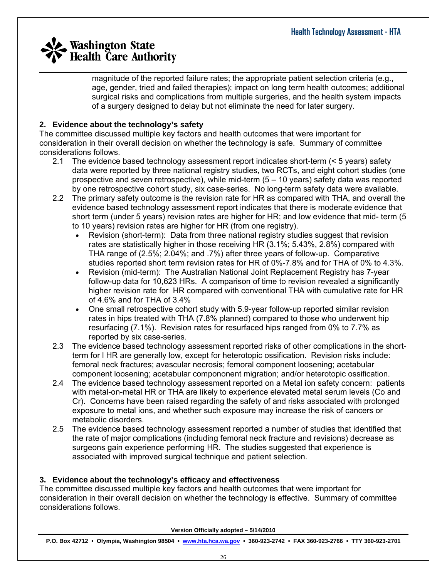magnitude of the reported failure rates; the appropriate patient selection criteria (e.g ., age, gender, tried and failed therapies); impact on long term health outcomes; addition al surgical risks and complications from multiple surgeries, and the health system impacts of a surgery designed to delay but not eliminate the need for later surgery.

#### **. Evidence about the technology's safety 2**

The committee discussed multiple key factors and health outcomes that were important for consideration in their overall decision on whether the technology is safe. Summary of committee considerations follows.

- 2.1 The evidence based technology assessment report indicates short-term (< 5 years) safety data were reported by three national registry studies, two RCTs, and eight cohort studies (one prospective and seven retrospective), while mid-term (5 – 10 years) safety data was reported by one retrospective cohort study, six case-series. No long-term safety data were available.
- 2.2 The primary safety outcome is the revision rate for HR as compared with THA, and overall the evidence based technology assessment report indicates that there is moderate evidence that short term (under 5 years) revision rates are higher for HR; and low evidence that mid- term (5 to 10 years) revision rates are higher for HR (from one registry).
	- Revision (short-term): Data from three national registry studies suggest that revision studies reported short term revision rates for HR of 0%-7.8% and for THA of 0% to 4.3%. rates are statistically higher in those receiving HR (3.1%; 5.43%, 2.8%) compared with THA range of (2.5%; 2.04%; and .7%) after three years of follow-up. Comparative
	- follow-up data for 10,623 HRs. A comparison of time to revision revealed a significantly • Revision (mid-term): The Australian National Joint Replacement Registry has 7-year higher revision rate for HR compared with conventional THA with cumulative rate for HR of 4.6% and for THA of 3.4%
	- One small retrospective cohort study with 5.9-year follow-up reported similar revision rates in hips treated with THA (7.8% planned) compared to those who underwent hip resurfacing (7.1%). Revision rates for resurfaced hips ranged from 0% to 7.7% as reported by six case-series.
- 2.3 The evidence based technology assessment reported risks of other complications in the shortcomponent loosening; acetabular compononent migration; and/or heterotopic ossification. term for l HR are generally low, except for heterotopic ossification. Revision risks include: femoral neck fractures; avascular necrosis; femoral component loosening; acetabular
- 2.4 The evidence based technology assessment reported on a Metal ion safety concern: patients with metal-on-metal HR or THA are likely to experience elevated metal serum levels (Co and Cr). Concerns have been raised regarding the safety of and risks associated with prolonged exposure to metal ions, and whether such exposure may increase the risk of cancers or metabolic disorders.
- 2.5 The evidence based technology assessment reported a number of studies that identified that the rate of major complications (including femoral neck fracture and revisions) decrease as surgeons gain experience performing HR. The studies suggested that experience is associated with improved surgical technique and patient selection.

#### **. Evidence about the technology's efficacy and effectiveness 3**

The committee discussed multiple key factors and health outcomes that were important for consideration in their overall decision on whether the technology is effective. Summary of committee considerations follows.

**Version Officially adopted – 5/14/2010**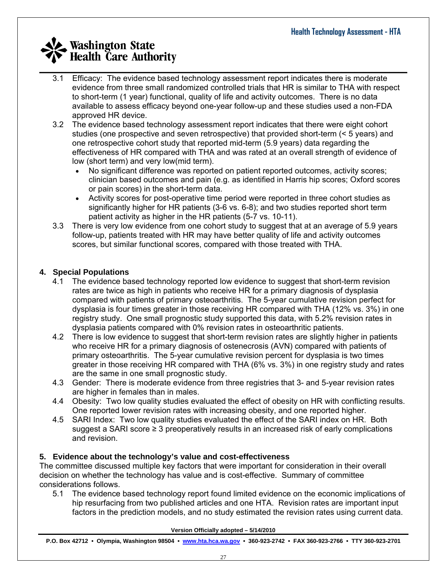- 3.1 Efficacy: The evidence based technology assessment report indicates there is moderate evidence from three small randomized controlled trials that HR is similar to THA with respect to short-term (1 year) functional, quality of life and activity outcomes. There is no data available to assess efficacy beyond one-year follow-up and these studies used a non-FDA approved HR device.
- 3.2 The evidence based technology assessment report indicates that there were eight cohort studies (one prospective and seven retrospective) that provided short-term (< 5 years) and one retrospective cohort study that reported mid-term (5.9 years) data regarding the effectiveness of HR compared with THA and was rated at an overall strength of evidence of low (short term) and very low(mid term).
	- No significant difference was reported on patient reported outcomes, activity scores; clinician based outcomes and pain (e.g. as identified in Harris hip scores; Oxford scores or pain scores) in the short-term data.
	- Activity scores for post-operative time period were reported in three cohort studies as significantly higher for HR patients (3-6 vs. 6-8); and two studies reported short term patient activity as higher in the HR patients (5-7 vs. 10-11).
- 3.3 There is very low evidence from one cohort study to suggest that at an average of 5.9 years follow-up, patients treated with HR may have better quality of life and activity outcomes scores, but similar functional scores, compared with those treated with THA.

#### **4. Special Populations**

- 4.1 The evidence based technology reported low evidence to suggest that short-term revision rates are twice as high in patients who receive HR for a primary diagnosis of dysplasia compared with patients of primary osteoarthritis. The 5-year cumulative revision perfect for dysplasia is four times greater in those receiving HR compared with THA (12% vs. 3%) in one registry study. One small prognostic study supported this data, with 5.2% revision rates in dysplasia patients compared with 0% revision rates in osteoarthritic patients.
- 4.2 There is low evidence to suggest that short-term revision rates are slightly higher in patients who receive HR for a primary diagnosis of ostenecrosis (AVN) compared with patients of primary osteoarthritis. The 5-year cumulative revision percent for dysplasia is two times greater in those receiving HR compared with THA (6% vs. 3%) in one registry study and rates are the same in one small prognostic study.
- 4.3 Gender: There is moderate evidence from three registries that 3- and 5-year revision rates are higher in females than in males.
- 4.4 Obesity: Two low quality studies evaluated the effect of obesity on HR with conflicting results. One reported lower revision rates with increasing obesity, and one reported higher.
- 4.5 SARI Index: Two low quality studies evaluated the effect of the SARI index on HR. Both suggest a SARI score ≥ 3 preoperatively results in an increased risk of early complications and revision.

#### **5. Evidence about the technology's value and cost-effectiveness**

The committee discussed multiple key factors that were important for consideration in their overall decision on whether the technology has value and is cost-effective. Summary of committee considerations follows.

5.1 The evidence based technology report found limited evidence on the economic implications of hip resurfacing from two published articles and one HTA. Revision rates are important input factors in the prediction models, and no study estimated the revision rates using current data.

**Version Officially adopted – 5/14/2010**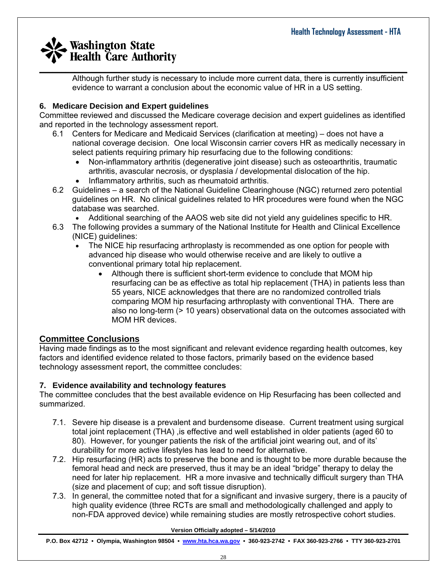$\_$  , and the set of the set of the set of the set of the set of the set of the set of the set of the set of the set of the set of the set of the set of the set of the set of the set of the set of the set of the set of th Although further study is necessary to include more current data, there is currently insufficient evidence to warrant a conclusion about the economic value of HR in a US setting.

#### **6. Medicare Decision and Expert guidelines**

Committee reviewed and discussed the Medicare coverage decision and expert guidelines as identified and reported in the technology assessment report.

- 6.1 Centers for Medicare and Medicaid Services (clarification at meeting) does not have a national coverage decision. One local Wisconsin carrier covers HR as medically necessary in select patients requiring primary hip resurfacing due to the following conditions:
	- Non-inflammatory arthritis (degenerative joint disease) such as osteoarthritis, traumatic arthritis, avascular necrosis, or dysplasia / developmental dislocation of the hip. • Inflammatory arthritis, such as rheumatoid arthritis.
- 6.2 Guidelines a search of the National Guideline Clearinghouse (NGC) returned zero potential guidelines on HR. No clinical guidelines related to HR procedures were found when the NGC database was searched.
	- Additional searching of the AAOS web site did not yield any guidelines specific to HR.
- 6.3 The following provides a summary of the National Institute for Health and Clinical Excellence (NICE) guidelines:
	- The NICE hip resurfacing arthroplasty is recommended as one option for people with advanced hip disease who would otherwise receive and are likely to outlive a conventional primary total hip replacement.
		- Although there is sufficient short-term evidence to conclude that MOM hip resurfacing can be as effective as total hip replacement (THA) in patients less than 55 years, NICE acknowledges that there are no randomized controlled trials comparing MOM hip resurfacing arthroplasty with conventional THA. There are also no long-term (> 10 years) observational data on the outcomes associated with MOM HR devices.

#### **Committee Conclusions**

Having made findings as to the most significant and relevant evidence regarding health outcomes, key factors and identified evidence related to those factors, primarily based on the evidence based technology assessment report, the committee concludes:

#### **7. Evidence availability and technology features**

The committee concludes that the best available evidence on Hip Resurfacing has been collected and summarized.

- 7.1. Severe hip disease is a prevalent and burdensome disease. Current treatment using surgical total joint replacement (THA) ,is effective and well established in older patients (aged 60 to 80). However, for younger patients the risk of the artificial joint wearing out, and of its' durability for more active lifestyles has lead to need for alternative.
- 7.2. Hip resurfacing (HR) acts to preserve the bone and is thought to be more durable because the femoral head and neck are preserved, thus it may be an ideal "bridge" therapy to delay the need for later hip replacement. HR a more invasive and technically difficult surgery than THA (size and placement of cup; and soft tissue disruption).
- 7.3. In general, the committee noted that for a significant and invasive surgery, there is a paucity of high quality evidence (three RCTs are small and methodologically challenged and apply to non-FDA approved device) while remaining studies are mostly retrospective cohort studies.

**Version Officially adopted – 5/14/2010**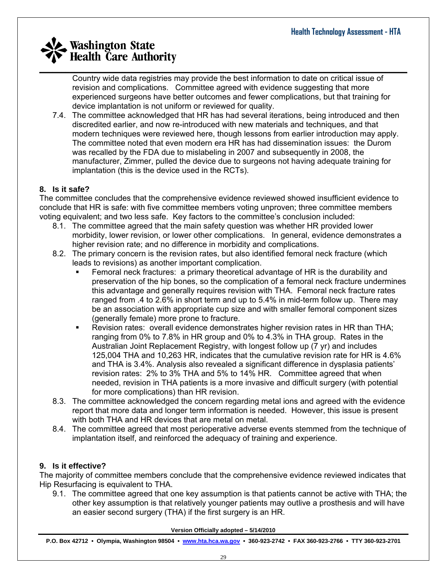Country wide data registries may provide the best information to date on critical issue of revision and complications. Committee agreed with evidence suggesting that more experienced surgeons have better outcomes and fewer complications, but that training for device implantation is not uniform or reviewed for quality.

7.4. The committee acknowledged that HR has had several iterations, being introduced and then discredited earlier, and now re-introduced with new materials and techniques, and that modern techniques were reviewed here, though lessons from earlier introduction may apply. The committee noted that even modern era HR has had dissemination issues: the Durom was recalled by the FDA due to mislabeling in 2007 and subsequently in 2008, the manufacturer, Zimmer, pulled the device due to surgeons not having adequate training for implantation (this is the device used in the RCTs).

#### **8. Is it safe?**

The committee concludes that the comprehensive evidence reviewed showed insufficient evidence to conclude that HR is safe: with five committee members voting unproven; three committee members voting equivalent; and two less safe. Key factors to the committee's conclusion included:

- 8.1. The committee agreed that the main safety question was whether HR provided lower morbidity, lower revision, or lower other complications. In general, evidence demonstrates a higher revision rate; and no difference in morbidity and complications.
- 8.2. The primary concern is the revision rates, but also identified femoral neck fracture (which leads to revisions) as another important complication.
	- Femoral neck fractures: a primary theoretical advantage of HR is the durability and preservation of the hip bones, so the complication of a femoral neck fracture undermines this advantage and generally requires revision with THA. Femoral neck fracture rates ranged from .4 to 2.6% in short term and up to 5.4% in mid-term follow up. There may be an association with appropriate cup size and with smaller femoral component sizes (generally female) more prone to fracture.
	- Revision rates: overall evidence demonstrates higher revision rates in HR than THA; ranging from 0% to 7.8% in HR group and 0% to 4.3% in THA group. Rates in the Australian Joint Replacement Registry, with longest follow up (7 yr) and includes 125,004 THA and 10,263 HR, indicates that the cumulative revision rate for HR is 4.6% and THA is 3.4%. Analysis also revealed a significant difference in dysplasia patients' revision rates: 2% to 3% THA and 5% to 14% HR. Committee agreed that when needed, revision in THA patients is a more invasive and difficult surgery (with potential for more complications) than HR revision.
- 8.3. The committee acknowledged the concern regarding metal ions and agreed with the evidence report that more data and longer term information is needed. However, this issue is present with both THA and HR devices that are metal on metal.
- 8.4. The committee agreed that most perioperative adverse events stemmed from the technique of implantation itself, and reinforced the adequacy of training and experience.

#### **9. Is it effective?**

The majority of committee members conclude that the comprehensive evidence reviewed indicates that Hip Resurfacing is equivalent to THA.

9.1. The committee agreed that one key assumption is that patients cannot be active with THA; the other key assumption is that relatively younger patients may outlive a prosthesis and will have an easier second surgery (THA) if the first surgery is an HR.

**Version Officially adopted – 5/14/2010**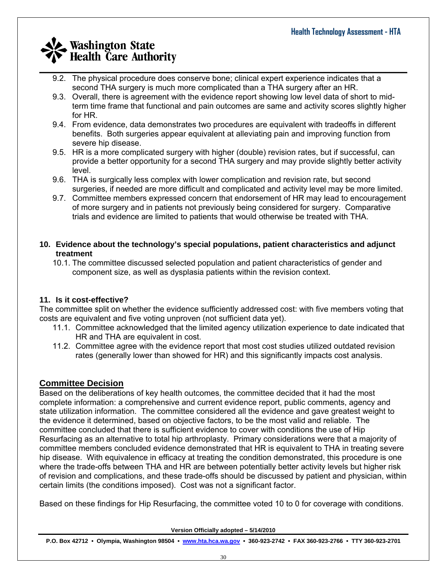- $\_$  , and the set of the set of the set of the set of the set of the set of the set of the set of the set of the set of the set of the set of the set of the set of the set of the set of the set of the set of the set of th 9.2. The physical procedure does conserve bone; clinical expert experience indicates that a second THA surgery is much more complicated than a THA surgery after an HR.
	- 9.3. Overall, there is agreement with the evidence report showing low level data of short to midterm time frame that functional and pain outcomes are same and activity scores slightly higher for HR.
	- 9.4. From evidence, data demonstrates two procedures are equivalent with tradeoffs in different benefits. Both surgeries appear equivalent at alleviating pain and improving function from severe hip disease.
	- 9.5. HR is a more complicated surgery with higher (double) revision rates, but if successful, can provide a better opportunity for a second THA surgery and may provide slightly better activity level.
	- 9.6. THA is surgically less complex with lower complication and revision rate, but second surgeries, if needed are more difficult and complicated and activity level may be more limited.
	- 9.7. Committee members expressed concern that endorsement of HR may lead to encouragement of more surgery and in patients not previously being considered for surgery. Comparative trials and evidence are limited to patients that would otherwise be treated with THA.
- **10. Evidence about the technology's special populations, patient characteristics and adjunct treatment**
	- 10.1. The committee discussed selected population and patient characteristics of gender and component size, as well as dysplasia patients within the revision context.

#### **11. Is it cost-effective?**

The committee split on whether the evidence sufficiently addressed cost: with five members voting that costs are equivalent and five voting unproven (not sufficient data yet).

- 11.1. Committee acknowledged that the limited agency utilization experience to date indicated that HR and THA are equivalent in cost.
- 11.2. Committee agree with the evidence report that most cost studies utilized outdated revision rates (generally lower than showed for HR) and this significantly impacts cost analysis.

#### **Committee Decision**

Based on the deliberations of key health outcomes, the committee decided that it had the most complete information: a comprehensive and current evidence report, public comments, agency and state utilization information. The committee considered all the evidence and gave greatest weight to the evidence it determined, based on objective factors, to be the most valid and reliable. The committee concluded that there is sufficient evidence to cover with conditions the use of Hip Resurfacing as an alternative to total hip arthroplasty. Primary considerations were that a majority of committee members concluded evidence demonstrated that HR is equivalent to THA in treating severe hip disease. With equivalence in efficacy at treating the condition demonstrated, this procedure is one where the trade-offs between THA and HR are between potentially better activity levels but higher risk of revision and complications, and these trade-offs should be discussed by patient and physician, within certain limits (the conditions imposed). Cost was not a significant factor.

Based on these findings for Hip Resurfacing, the committee voted 10 to 0 for coverage with conditions.

**Version Officially adopted – 5/14/2010**